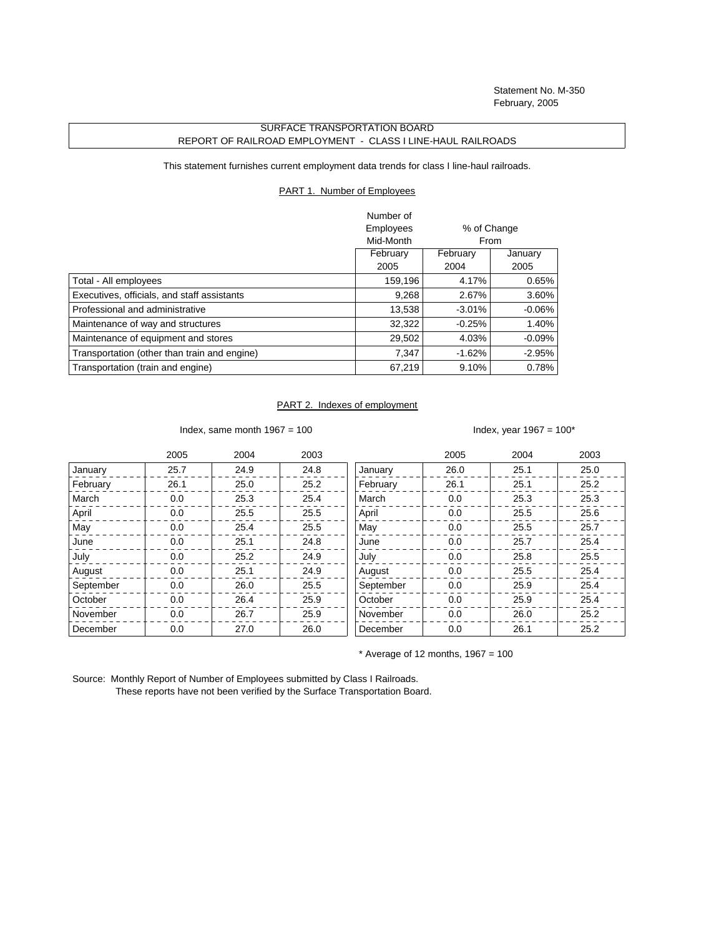Statement No. M-350 February, 2005

## SURFACE TRANSPORTATION BOARD REPORT OF RAILROAD EMPLOYMENT - CLASS I LINE-HAUL RAILROADS

This statement furnishes current employment data trends for class I line-haul railroads.

## PART 1. Number of Employees

|                                              | Number of    |                     |           |
|----------------------------------------------|--------------|---------------------|-----------|
|                                              | Employees    | % of Change<br>From |           |
|                                              | Mid-Month    |                     |           |
|                                              | February     | February            | January   |
|                                              | 2004<br>2005 |                     |           |
| Total - All employees                        | 159,196      | 4.17%               | 0.65%     |
| Executives, officials, and staff assistants  | 9,268        | 2.67%               | 3.60%     |
| Professional and administrative              | 13,538       | $-3.01%$            | $-0.06\%$ |
| Maintenance of way and structures            | 32,322       | $-0.25%$            | 1.40%     |
| Maintenance of equipment and stores          | 29,502       | 4.03%               | $-0.09\%$ |
| Transportation (other than train and engine) | 7.347        | $-1.62%$            | $-2.95%$  |
| Transportation (train and engine)            | 67,219       | 9.10%               | 0.78%     |

## PART 2. Indexes of employment

Index, same month  $1967 = 100$  Index, year  $1967 = 100^*$ 

|           | 2005 | 2004 | 2003 |           | 2005 | 2004 | 2003 |
|-----------|------|------|------|-----------|------|------|------|
| January   | 25.7 | 24.9 | 24.8 | January   | 26.0 | 25.1 | 25.0 |
| February  | 26.1 | 25.0 | 25.2 | February  | 26.1 | 25.1 | 25.2 |
| March     | 0.0  | 25.3 | 25.4 | March     | 0.0  | 25.3 | 25.3 |
| April     | 0.0  | 25.5 | 25.5 | April     | 0.0  | 25.5 | 25.6 |
| May       | 0.0  | 25.4 | 25.5 | May       | 0.0  | 25.5 | 25.7 |
| June      | 0.0  | 25.1 | 24.8 | June      | 0.0  | 25.7 | 25.4 |
| July      | 0.0  | 25.2 | 24.9 | July      | 0.0  | 25.8 | 25.5 |
| August    | 0.0  | 25.1 | 24.9 | August    | 0.0  | 25.5 | 25.4 |
| September | 0.0  | 26.0 | 25.5 | September | 0.0  | 25.9 | 25.4 |
| October   | 0.0  | 26.4 | 25.9 | October   | 0.0  | 25.9 | 25.4 |
| November  | 0.0  | 26.7 | 25.9 | November  | 0.0  | 26.0 | 25.2 |
| December  | 0.0  | 27.0 | 26.0 | December  | 0.0  | 26.1 | 25.2 |

 $*$  Average of 12 months, 1967 = 100

Source: Monthly Report of Number of Employees submitted by Class I Railroads. These reports have not been verified by the Surface Transportation Board.